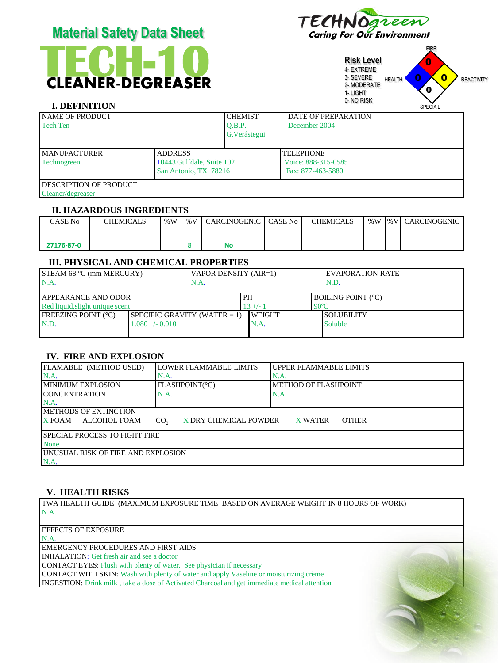| <b>MAIGHAI VAIGH DAIA VIIGGI</b>                   |                                                                      |                                           |                                                              | Caring for Our Environment                                                                            |                                            |                   |  |
|----------------------------------------------------|----------------------------------------------------------------------|-------------------------------------------|--------------------------------------------------------------|-------------------------------------------------------------------------------------------------------|--------------------------------------------|-------------------|--|
| <b>CLEANER-DEGREASER</b><br><b>I. DEFINITION</b>   |                                                                      |                                           |                                                              | <b>Risk Level</b><br>4- EXTREME<br>3- SEVERE<br><b>HEALTH</b><br>2-MODERATE<br>1- LIGHT<br>0- NO RISK | <b>FIRE</b><br>0<br>$\mathbf 0$<br>SPECIAL | <b>REACTIVITY</b> |  |
| <b>NAME OF PRODUCT</b><br><b>Tech Ten</b>          |                                                                      | <b>CHEMIST</b><br>O.B.P.<br>G. Verástegui | <b>DATE OF PREPARATION</b><br>December 2004                  |                                                                                                       |                                            |                   |  |
| <b>MANUFACTURER</b><br>Technogreen                 | <b>ADDRESS</b><br>10443 Gulfdale, Suite 102<br>San Antonio, TX 78216 |                                           | <b>TELEPHONE</b><br>Voice: 888-315-0585<br>Fax: 877-463-5880 |                                                                                                       |                                            |                   |  |
| <b>DESCRIPTION OF PRODUCT</b><br>Cleaner/degreaser |                                                                      |                                           |                                                              |                                                                                                       |                                            |                   |  |

Material Safety Data Sheet FECHNOgreen

#### **II. HAZARDOUS INGREDIENTS**

| CASE No    | <b>CHEMICALS</b> | $\%W$ | % V | I CARCINOGENIC | CASE No I | <b>CHEMICALS</b> |  | ∣%W I%VI CARCINOGENIC I |
|------------|------------------|-------|-----|----------------|-----------|------------------|--|-------------------------|
|            |                  |       |     |                |           |                  |  |                         |
| 27176-87-0 |                  |       |     | No             |           |                  |  |                         |

#### **III. PHYSICAL AND CHEMICAL PROPERTIES**

| $ISTEAM 68 °C$ (mm MERCURY)<br>N.A.                            |                                 | VAPOR DENSITY (AIR=1)<br>N.A. |                |  | <b>IEVAPORATION RATE</b><br>N.D.            |  |
|----------------------------------------------------------------|---------------------------------|-------------------------------|----------------|--|---------------------------------------------|--|
| <b>LAPPEARANCE AND ODOR</b><br>Red liquid, slight unique scent |                                 | <b>PH</b><br>$13 +/-$         |                |  | <b>BOILING POINT (°C)</b><br>$90^{\circ}$ C |  |
| <b>IFREEZING POINT (°C)</b>                                    | SPECIFIC GRAVITY (WATER $= 1$ ) |                               | <b>IWEIGHT</b> |  | <b>SOLUBILITY</b>                           |  |
| N.D.                                                           | $1.080 + (-0.010)$              |                               | N.A.           |  | <b>Soluble</b>                              |  |
|                                                                |                                 |                               |                |  |                                             |  |

## **IV. FIRE AND EXPLOSION**

| <b>FLAMABLE (METHOD USED)</b>              | LOWER FLAMMABLE LIMITS                   | <b>UPPER FLAMMABLE LIMITS</b> |
|--------------------------------------------|------------------------------------------|-------------------------------|
| $NA$ .                                     | N.A.                                     | N.A.                          |
| <b>IMINIMUM EXPLOSION</b>                  | FLASHPOINT(°C)                           | <b>METHOD OF FLASHPOINT</b>   |
| <b>ICONCENTRATION</b>                      | N.A.                                     | N.A.                          |
| $NA$ .                                     |                                          |                               |
| IMETHODS OF EXTINCTION                     |                                          |                               |
| ALCOHOL FOAM<br><b>X FOAM</b>              | X DRY CHEMICAL POWDER<br>CO <sub>2</sub> | <b>OTHER</b><br>X WATER       |
|                                            |                                          |                               |
| <b>ISPECIAL PROCESS TO FIGHT FIRE</b>      |                                          |                               |
| <b>None</b>                                |                                          |                               |
| <b>JUNUSUAL RISK OF FIRE AND EXPLOSION</b> |                                          |                               |
| N.A.                                       |                                          |                               |

#### **V. HEALTH RISKS**

TWA HEALTH GUIDE (MAXIMUM EXPOSURE TIME BASED ON AVERAGE WEIGHT IN 8 HOURS OF WORK) N.A.

EFFECTS OF EXPOSURE N.A.

EMERGENCY PROCEDURES AND FIRST AIDS

INHALATION: Get fresh air and see a doctor

CONTACT EYES: Flush with plenty of water. See physician if necessary

CONTACT WITH SKIN: Wash with plenty of water and apply Vaseline or moisturizing crème

INGESTION: Drink milk , take a dose of Activated Charcoal and get immediate medical attention